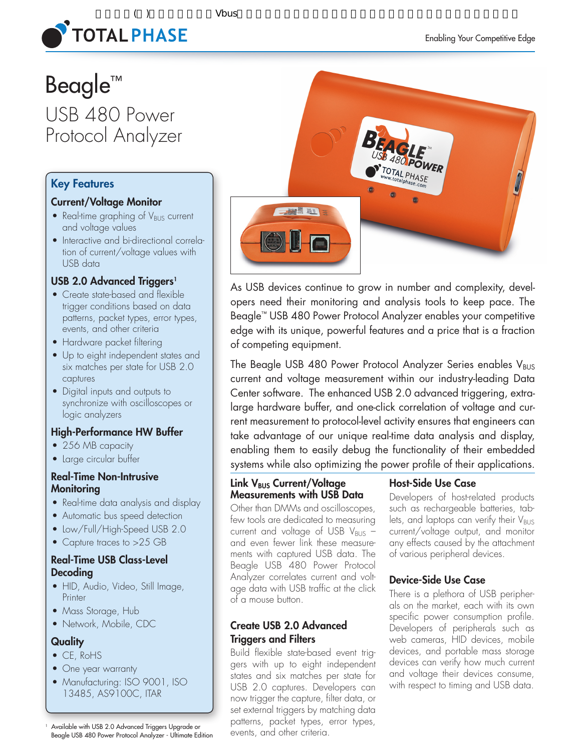

# $($   $)$   $V$  bus **TOTAL PHASE**

# Beagle™ USB 480 Power Protocol Analyzer

# Key Features

# Current/Voltage Monitor

- Real-time graphing of  $V_{\text{BUS}}$  current and voltage values
- Interactive and bi-directional correlation of current/voltage values with USB data

# USB 2.0 Advanced Triggers<sup>1</sup>

- Create state-based and flexible trigger conditions based on data patterns, packet types, error types, events, and other criteria
- Hardware packet filtering
- Up to eight independent states and six matches per state for USB 2.0 captures
- • Digital inputs and outputs to synchronize with oscilloscopes or logic analyzers

# High-Performance HW Buffer

- 256 MB capacity
- Large circular buffer

# Real-Time Non-Intrusive **Monitoring**

- Real-time data analysis and display
- Automatic bus speed detection
- Low/Full/High-Speed USB 2.0
- Capture traces to >25 GB

# Real-Time USB Class-Level Decoding

- HID, Audio, Video, Still Image, **Printer**
- Mass Storage, Hub
- Network, Mobile, CDC

# **Quality**

- CE, RoHS
- One year warranty
- Manufacturing: ISO 9001, ISO 13485, AS9100C, ITAR

<sup>1</sup> Available with USB 2.0 Advanced Triggers Upgrade or Beagle USB 480 Power Protocol Analyzer - Ultimate Edition



As USB devices continue to grow in number and complexity, developers need their monitoring and analysis tools to keep pace. The Beagle™ USB 480 Power Protocol Analyzer enables your competitive edge with its unique, powerful features and a price that is a fraction of competing equipment.

The Beagle USB 480 Power Protocol Analyzer Series enables  $V_{\text{BUS}}$ current and voltage measurement within our industry-leading Data Center software. The enhanced USB 2.0 advanced triggering, extralarge hardware buffer, and one-click correlation of voltage and current measurement to protocol-level activity ensures that engineers can take advantage of our unique real-time data analysis and display, enabling them to easily debug the functionality of their embedded systems while also optimizing the power profile of their applications.

# Link V<sub>BUS</sub> Current/Voltage Measurements with USB Data

Other than DMMs and oscilloscopes, few tools are dedicated to measuring current and voltage of USB  $V_{\text{BUS}}$  and even fewer link these measurements with captured USB data. The Beagle USB 480 Power Protocol Analyzer correlates current and voltage data with USB traffic at the click of a mouse button.

# Create USB 2.0 Advanced Triggers and Filters

Build flexible state-based event triggers with up to eight independent states and six matches per state for USB 2.0 captures. Developers can now trigger the capture, filter data, or set external triggers by matching data patterns, packet types, error types, events, and other criteria.

# Host-Side Use Case

Developers of host-related products such as rechargeable batteries, tablets, and laptops can verify their  $V_{\text{BUS}}$ current/voltage output, and monitor any effects caused by the attachment of various peripheral devices.

# Device-Side Use Case

There is a plethora of USB peripherals on the market, each with its own specific power consumption profile. Developers of peripherals such as web cameras, HID devices, mobile devices, and portable mass storage devices can verify how much current and voltage their devices consume, with respect to timing and USB data.